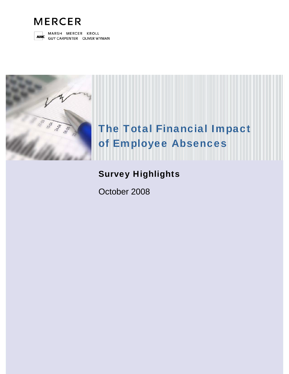



MARSH MERCER KROLL **MMC** GUY CARPENTER OLIVER WYMAN



# The Total Financial Impact of Employee Absences

# Survey Highlights

October 2008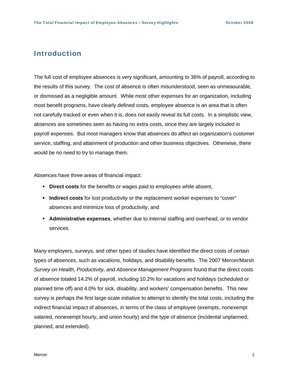### Introduction

The full cost of employee absences is very significant, amounting to 36% of payroll, according to the results of this survey. The cost of absence is often misunderstood, seen as unmeasurable, or dismissed as a negligible amount. While most other expenses for an organization, including most benefit programs, have clearly defined costs, employee absence is an area that is often not carefully tracked or even when it is, does not easily reveal its full costs. In a simplistic view, absences are sometimes seen as having no extra costs, since they are largely included in payroll expenses. But most managers know that absences do affect an organization's customer service, staffing, and attainment of production and other business objectives. Otherwise, there would be no need to try to manage them.

Absences have three areas of financial impact:

- **Direct costs** for the benefits or wages paid to employees while absent,
- **Indirect costs** for lost productivity or the replacement worker expenses to "cover" absences and minimize loss of productivity, and
- **Administrative expenses**, whether due to internal staffing and overhead, or to vendor services.

Many employers, surveys, and other types of studies have identified the direct costs of certain types of absences, such as vacations, holidays, and disability benefits. The 2007 Mercer/Marsh *Survey on Health, Productivity, and Absence Management Programs* found that the direct costs of absence totaled 14.2% of payroll, including 10.2% for vacations and holidays (scheduled or planned time off) and 4.0% for sick, disability, and workers' compensation benefits. This new survey is perhaps the first large-scale initiative to attempt to identify the total costs, including the indirect financial impact of absences, in terms of the class of employee (exempts, nonexempt salaried, nonexempt hourly, and union hourly) and the type of absence (incidental unplanned, planned, and extended).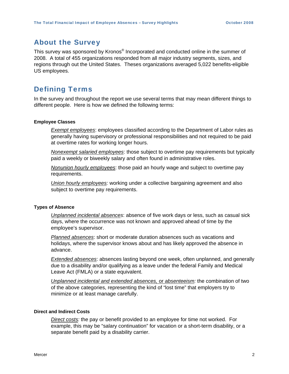# About the Survey

This survey was sponsored by Kronos® Incorporated and conducted online in the summer of 2008. A total of 455 organizations responded from all major industry segments, sizes, and regions through out the United States. Theses organizations averaged 5,022 benefits-eligible US employees.

# Defining Terms

In the survey and throughout the report we use several terms that may mean different things to different people. Here is how we defined the following terms:

#### **Employee Classes**

*Exempt employees*: employees classified according to the Department of Labor rules as generally having supervisory or professional responsibilities and not required to be paid at overtime rates for working longer hours.

*Nonexempt salaried employees*: those subject to overtime pay requirements but typically paid a weekly or biweekly salary and often found in administrative roles.

*Nonunion hourly employees*: those paid an hourly wage and subject to overtime pay requirements.

*Union hourly employees:* working under a collective bargaining agreement and also subject to overtime pay requirements.

#### **Types of Absence**

*Unplanned incidental absences*: absence of five work days or less, such as casual sick days, where the occurrence was not known and approved ahead of time by the employee's supervisor.

*Planned absences*: short or moderate duration absences such as vacations and holidays, where the supervisor knows about and has likely approved the absence in advance.

*Extended absences*: absences lasting beyond one week, often unplanned, and generally due to a disability and/or qualifying as a leave under the federal Family and Medical Leave Act (FMLA) or a state equivalent.

*Unplanned incidental and extended absences,* or *absenteeism:* the combination of two of the above categories, representing the kind of "lost time" that employers try to minimize or at least manage carefully.

#### **Direct and Indirect Costs**

*Direct costs:* the pay or benefit provided to an employee for time not worked. For example, this may be "salary continuation" for vacation or a short-term disability, or a separate benefit paid by a disability carrier.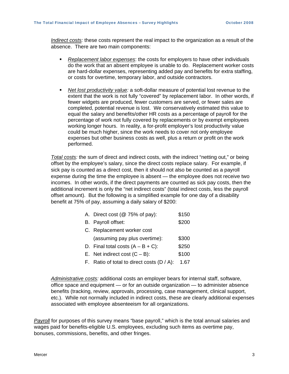*Indirect costs:* these costs represent the real impact to the organization as a result of the absence. There are two main components:

- *Replacement labor expenses*: the costs for employers to have other individuals do the work that an absent employee is unable to do. Replacement worker costs are hard-dollar expenses, representing added pay and benefits for extra staffing, or costs for overtime, temporary labor, and outside contractors.
- *Net lost productivity value:* a soft-dollar measure of potential lost revenue to the extent that the work is not fully "covered" by replacement labor. In other words, if fewer widgets are produced, fewer customers are served, or fewer sales are completed, potential revenue is lost. We conservatively estimated this value to equal the salary and benefits/other HR costs as a percentage of payroll for the percentage of work not fully covered by replacements or by exempt employees working longer hours. In reality, a for-profit employer's lost productivity value could be much higher, since the work needs to cover not only employee expenses but other business costs as well, plus a return or profit on the work performed.

*Total costs:* the sum of direct and indirect costs, with the indirect "netting out," or being offset by the employee's salary, since the direct costs replace salary. For example, if sick pay is counted as a direct cost, then it should not also be counted as a payroll expense during the time the employee is absent — the employee does not receive two incomes. In other words, if the direct payments are counted as sick pay costs, then the additional increment is only the "net indirect costs" (total indirect costs, less the payroll offset amount). But the following is a simplified example for one day of a disability benefit at 75% of pay, assuming a daily salary of \$200:

| A. Direct cost (@ 75% of pay):                | \$150 |  |
|-----------------------------------------------|-------|--|
| B. Payroll offset:                            | \$200 |  |
| C. Replacement worker cost                    |       |  |
| (assuming pay plus overtime):                 | \$300 |  |
| D. Final total costs $(A - B + C)$ :          | \$250 |  |
| E. Net indirect cost $(C - B)$ :              | \$100 |  |
| F. Ratio of total to direct costs $(D / A)$ : | 1.67  |  |

*Administrative costs:* additional costs an employer bears for internal staff, software, office space and equipment — or for an outside organization — to administer absence benefits (tracking, review, approvals, processing, case management, clinical support, etc.). While not normally included in indirect costs, these are clearly additional expenses associated with employee absenteeism for all organizations.

*Payroll* for purposes of this survey means "base payroll," which is the total annual salaries and wages paid for benefits-eligible U.S. employees, excluding such items as overtime pay, bonuses, commissions, benefits, and other fringes.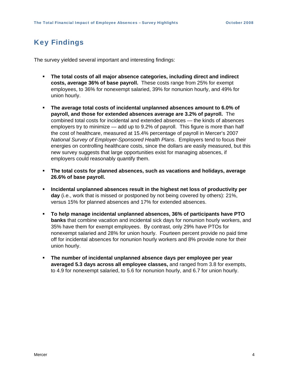# Key Findings

The survey yielded several important and interesting findings:

- **The total costs of all major absence categories, including direct and indirect costs, average 36% of base payroll.** These costs range from 25% for exempt employees, to 36% for nonexempt salaried, 39% for nonunion hourly, and 49% for union hourly.
- **The average total costs of incidental unplanned absences amount to 6.0% of payroll, and those for extended absences average are 3.2% of payroll.** The combined total costs for incidental and extended absences — the kinds of absences employers try to minimize — add up to 9.2% of payroll. This figure is more than half the cost of healthcare, measured at 15.4% percentage of payroll in Mercer's 2007 *National Survey of Employer-Sponsored Health Plans*. Employers tend to focus their energies on controlling healthcare costs, since the dollars are easily measured, but this new survey suggests that large opportunities exist for managing absences, if employers could reasonably quantify them.
- **The total costs for planned absences, such as vacations and holidays, average 26.6% of base payroll.**
- **Incidental unplanned absences result in the highest net loss of productivity per day** (i.e., work that is missed or postponed by not being covered by others): 21%, versus 15% for planned absences and 17% for extended absences.
- **To help manage incidental unplanned absences, 36% of participants have PTO banks** that combine vacation and incidental sick days for nonunion hourly workers, and 35% have them for exempt employees. By contrast, only 29% have PTOs for nonexempt salaried and 28% for union hourly. Fourteen percent provide no paid time off for incidental absences for nonunion hourly workers and 8% provide none for their union hourly.
- **The number of incidental unplanned absence days per employee per year averaged 5.3 days across all employee classes,** and ranged from 3.8 for exempts, to 4.9 for nonexempt salaried, to 5.6 for nonunion hourly, and 6.7 for union hourly.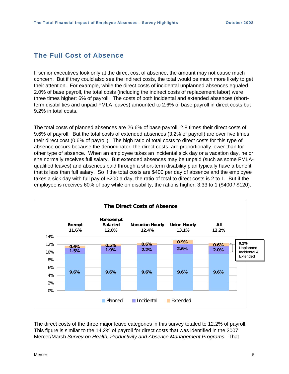# The Full Cost of Absence

If senior executives look only at the direct cost of absence, the amount may not cause much concern. But if they could also see the indirect costs, the total would be much more likely to get their attention. For example, while the direct costs of incidental unplanned absences equaled 2.0% of base payroll, the total costs (including the indirect costs of replacement labor) were three times higher: 6% of payroll. The costs of both incidental and extended absences (shortterm disabilities and unpaid FMLA leaves) amounted to 2.6% of base payroll in direct costs but 9.2% in total costs.

The total costs of planned absences are 26.6% of base payroll, 2.8 times their direct costs of 9.6% of payroll. But the total costs of extended absences (3.2% of payroll) are over five times their direct cost (0.6% of payroll). The high ratio of total costs to direct costs for this type of absence occurs because the denominator, the direct costs, are proportionally lower than for other type of absence. When an employee takes an incidental sick day or a vacation day, he or she normally receives full salary. But extended absences may be unpaid (such as some FMLAqualified leaves) and absences paid through a short-term disability plan typically have a benefit that is less than full salary. So if the total costs are \$400 per day of absence and the employee takes a sick day with full pay of \$200 a day, the ratio of total to direct costs is 2 to 1. But if the employee is receives 60% of pay while on disability, the ratio is higher: 3.33 to 1 (\$400 / \$120).



The direct costs of the three major leave categories in this survey totaled to 12.2% of payroll. This figure is similar to the 14.2% of payroll for direct costs that was identified in the 2007 Mercer/Marsh *Survey on Health, Productivity and Absence Management Programs.* That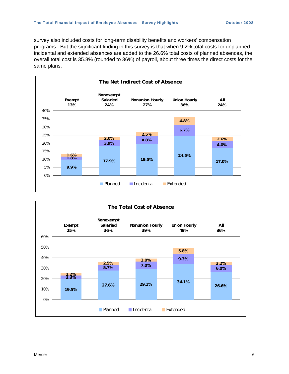survey also included costs for long-term disability benefits and workers' compensation programs. But the significant finding in this survey is that when 9.2% total costs for unplanned incidental and extended absences are added to the 26.6% total costs of planned absences, the overall total cost is 35.8% (rounded to 36%) of payroll, about three times the direct costs for the same plans.



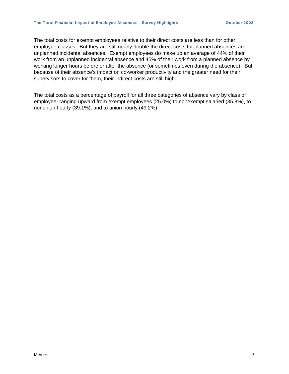The total costs for exempt employees relative to their direct costs are less than for other employee classes. But they are still nearly double the direct costs for planned absences and unplanned incidental absences. Exempt employees do make up an average of 44% of their work from an unplanned incidental absence and 45% of their work from a planned absence by working longer hours before or after the absence (or sometimes even during the absence). But because of their absence's impact on co-worker productivity and the greater need for their supervisors to cover for them, their indirect costs are still high.

The total costs as a percentage of payroll for all three categories of absence vary by class of employee: ranging upward from exempt employees (25.0%) to nonexempt salaried (35.8%), to nonunion hourly (39.1%), and to union hourly (49.2%).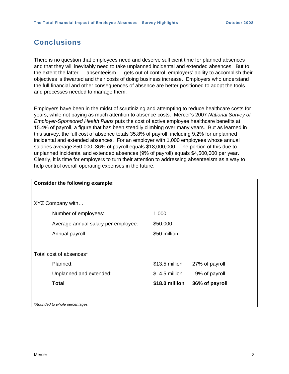# Conclusions

There is no question that employees need and deserve sufficient time for planned absences and that they will inevitably need to take unplanned incidental and extended absences. But to the extent the latter — absenteeism — gets out of control, employers' ability to accomplish their objectives is thwarted and their costs of doing business increase. Employers who understand the full financial and other consequences of absence are better positioned to adopt the tools and processes needed to manage them.

Employers have been in the midst of scrutinizing and attempting to reduce healthcare costs for years, while not paying as much attention to absence costs. Mercer's 2007 *National Survey of Employer-Sponsored Health Plans* puts the cost of active employee healthcare benefits at 15.4% of payroll, a figure that has been steadily climbing over many years. But as learned in this survey, the full cost of absence totals 35.8% of payroll, including 9.2% for unplanned incidental and extended absences. For an employer with 1,000 employees whose annual salaries average \$50,000, 36% of payroll equals \$18,000,000. The portion of this due to unplanned incidental and extended absences (9% of payroll) equals \$4,500,000 per year. Clearly, it is time for employers to turn their attention to addressing absenteeism as a way to help control overall operating expenses in the future.

| Consider the following example:     |                |                |  |  |
|-------------------------------------|----------------|----------------|--|--|
|                                     |                |                |  |  |
| <b>XYZ Company with</b>             |                |                |  |  |
| Number of employees:                | 1,000          |                |  |  |
| Average annual salary per employee: | \$50,000       |                |  |  |
| Annual payroll:                     | \$50 million   |                |  |  |
|                                     |                |                |  |  |
| Total cost of absences*             |                |                |  |  |
| Planned:                            | \$13.5 million | 27% of payroll |  |  |
| Unplanned and extended:             | \$4.5 million  | 9% of payroll  |  |  |
| <b>Total</b>                        | \$18.0 million | 36% of payroll |  |  |
|                                     |                |                |  |  |
| *Rounded to whole percentages       |                |                |  |  |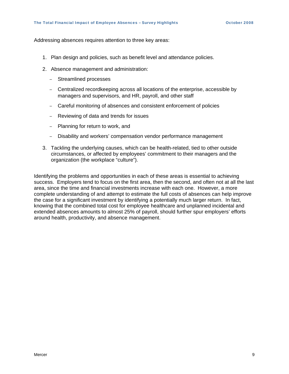Addressing absences requires attention to three key areas:

- 1. Plan design and policies, such as benefit level and attendance policies.
- 2. Absence management and administration:
	- Streamlined processes
	- Centralized recordkeeping across all locations of the enterprise, accessible by managers and supervisors, and HR, payroll, and other staff
	- Careful monitoring of absences and consistent enforcement of policies
	- Reviewing of data and trends for issues
	- Planning for return to work, and
	- Disability and workers' compensation vendor performance management
- 3. Tackling the underlying causes, which can be health-related, tied to other outside circumstances, or affected by employees' commitment to their managers and the organization (the workplace "culture").

Identifying the problems and opportunities in each of these areas is essential to achieving success. Employers tend to focus on the first area, then the second, and often not at all the last area, since the time and financial investments increase with each one. However, a more complete understanding of and attempt to estimate the full costs of absences can help improve the case for a significant investment by identifying a potentially much larger return. In fact, knowing that the combined total cost for employee healthcare and unplanned incidental and extended absences amounts to almost 25% of payroll, should further spur employers' efforts around health, productivity, and absence management.